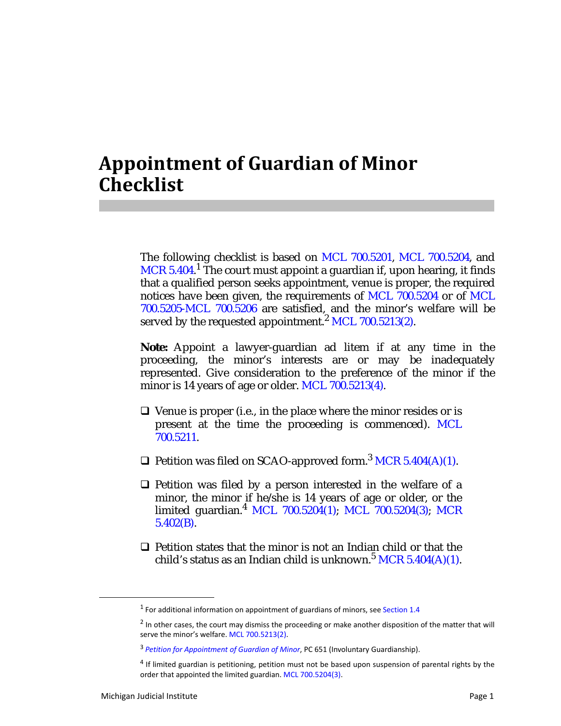## **Appointment of Guardian of Minor Checklist**

The following checklist is based on MCL 700.5201, MCL 700.5204, and  ${\rm MCR}$  5.404. $^1$  The court must appoint a guardian if, upon hearing, it finds that a qualified person seeks appointment, venue is proper, the required notices have been given, the requirements of MCL 700.5204 or of MCL 700.5205-MCL 700.5206 are satisfied, and the minor's welfare will be served by the requested appointment.<sup>2</sup> MCL 700.5213(2).

**Note:** Appoint a lawyer-guardian ad litem if at any time in the proceeding, the minor's interests are or may be inadequately represented. Give consideration to the preference of the minor if the minor is 14 years of age or older. MCL 700.5213(4).

- $\Box$  Venue is proper (i.e., in the place where the minor resides or is present at the time the proceeding is commenced). MCL 700.5211.
- $\Box$  Petition was filed on SCAO-approved form.<sup>3</sup> MCR 5.404(A)(1).
- $\Box$  Petition was filed by a person interested in the welfare of a minor, the minor if he/she is 14 years of age or older, or the limited guardian.4 MCL 700.5204(1); MCL 700.5204(3); MCR 5.402(B).
- $\Box$  Petition states that the minor is not an Indian child or that the child's status as an Indian child is unknown.<sup>5</sup> MCR 5.404(A)(1).

<sup>&</sup>lt;sup>1</sup> For additional information on appointment of guardians of minors, see Section 1.4

 $<sup>2</sup>$  In other cases, the court may dismiss the proceeding or make another disposition of the matter that will</sup> serve the minor's welfare. MCL 700.5213(2).

<sup>3</sup> *Petition for Appointment of Guardian of Minor*, PC 651 (Involuntary Guardianship).

<sup>&</sup>lt;sup>4</sup> If limited guardian is petitioning, petition must not be based upon suspension of parental rights by the order that appointed the limited guardian. MCL 700.5204(3).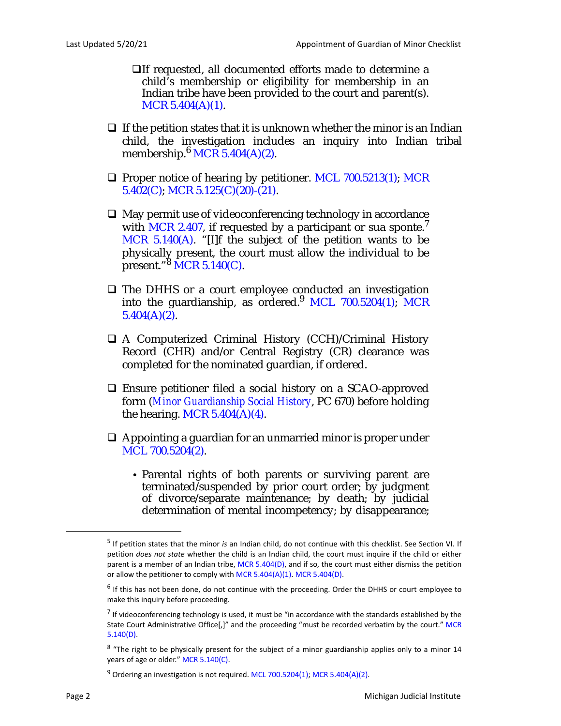If requested, all documented efforts made to determine a child's membership or eligibility for membership in an Indian tribe have been provided to the court and parent(s). MCR 5.404(A)(1).

- $\Box$  If the petition states that it is unknown whether the minor is an Indian child, the investigation includes an inquiry into Indian tribal membership. $6 \text{ MCR } 5.404 \text{(A)}(2)$ .
- $\Box$  Proper notice of hearing by petitioner. MCL 700.5213(1); MCR 5.402(C); MCR 5.125(C)(20)-(21).
- $\Box$  May permit use of videoconferencing technology in accordance with MCR 2.407, if requested by a participant or sua sponte.<sup>7</sup> MCR 5.140(A). "[I]f the subject of the petition wants to be physically present, the court must allow the individual to be present."8 MCR 5.140(C).
- The DHHS or a court employee conducted an investigation into the guardianship, as ordered. $9 \text{ MCL } 700.5204(1)$ ; MCR  $5.404(A)(2)$ .
- A Computerized Criminal History (CCH)/Criminal History Record (CHR) and/or Central Registry (CR) clearance was completed for the nominated guardian, if ordered.
- Ensure petitioner filed a social history on a SCAO-approved form (*Minor Guardianship Social History*, PC 670) before holding the hearing. MCR  $5.404(A)(4)$ .
- $\Box$  Appointing a guardian for an unmarried minor is proper under MCL 700.5204(2).
	- **•** Parental rights of both parents or surviving parent are terminated/suspended by prior court order; by judgment of divorce/separate maintenance; by death; by judicial determination of mental incompetency; by disappearance;

<sup>5</sup> If petition states that the minor *is* an Indian child, do not continue with this checklist. See Section VI. If petition *does not state* whether the child is an Indian child, the court must inquire if the child or either parent is a member of an Indian tribe, MCR 5.404(D), and if so, the court must either dismiss the petition or allow the petitioner to comply with MCR 5.404(A)(1). MCR 5.404(D).

<sup>&</sup>lt;sup>6</sup> If this has not been done, do not continue with the proceeding. Order the DHHS or court employee to make this inquiry before proceeding.

 $<sup>7</sup>$  If videoconferencing technology is used, it must be "in accordance with the standards established by the</sup> State Court Administrative Office[,]" and the proceeding "must be recorded verbatim by the court." MCR 5.140(D).

<sup>&</sup>lt;sup>8</sup> "The right to be physically present for the subject of a minor guardianship applies only to a minor 14 years of age or older." MCR 5.140(C).

<sup>&</sup>lt;sup>9</sup> Ordering an investigation is not required. MCL 700.5204(1); MCR 5.404(A)(2).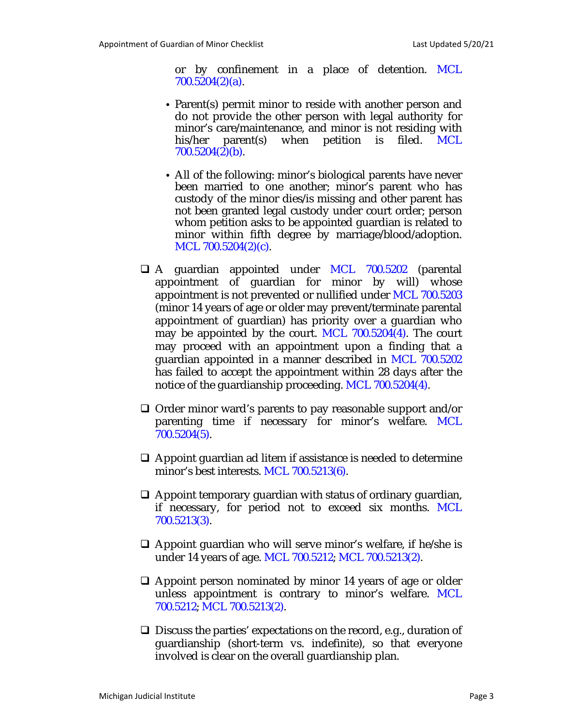or by confinement in a place of detention. MCL 700.5204(2)(a).

- **•** Parent(s) permit minor to reside with another person and do not provide the other person with legal authority for minor's care/maintenance, and minor is not residing with his/her parent(s) when petition is filed. MCL 700.5204(2)(b).
- **•** All of the following: minor's biological parents have never been married to one another; minor's parent who has custody of the minor dies/is missing and other parent has not been granted legal custody under court order; person whom petition asks to be appointed guardian is related to minor within fifth degree by marriage/blood/adoption. MCL 700.5204(2)(c).
- A guardian appointed under MCL 700.5202 (parental appointment of guardian for minor by will) whose appointment is not prevented or nullified under MCL 700.5203 (minor 14 years of age or older may prevent/terminate parental appointment of guardian) has priority over a guardian who may be appointed by the court. MCL 700.5204(4). The court may proceed with an appointment upon a finding that a guardian appointed in a manner described in MCL 700.5202 has failed to accept the appointment within 28 days after the notice of the guardianship proceeding. MCL 700.5204(4).
- $\Box$  Order minor ward's parents to pay reasonable support and/or parenting time if necessary for minor's welfare. MCL 700.5204(5).
- $\Box$  Appoint guardian ad litem if assistance is needed to determine minor's best interests. MCL 700.5213(6).
- $\Box$  Appoint temporary guardian with status of ordinary guardian, if necessary, for period not to exceed six months. MCL 700.5213(3).
- $\Box$  Appoint guardian who will serve minor's welfare, if he/she is under 14 years of age. MCL 700.5212; MCL 700.5213(2).
- $\Box$  Appoint person nominated by minor 14 years of age or older unless appointment is contrary to minor's welfare. MCL 700.5212; MCL 700.5213(2).
- $\Box$  Discuss the parties' expectations on the record, e.g., duration of guardianship (short-term vs. indefinite), so that everyone involved is clear on the overall guardianship plan.